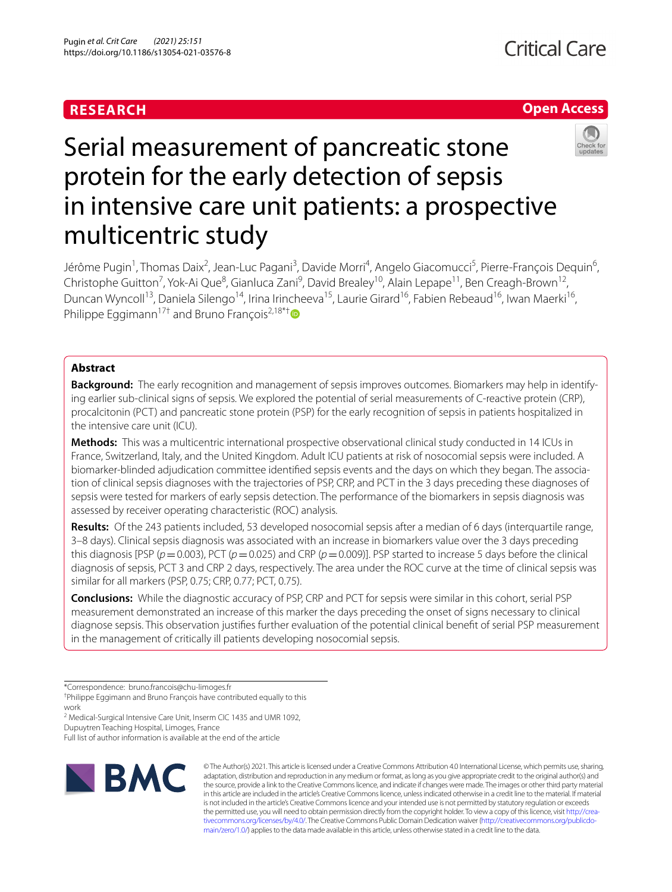# **RESEARCH**

# **Open Access**



# Serial measurement of pancreatic stone protein for the early detection of sepsis in intensive care unit patients: a prospective multicentric study

Jérôme Pugin<sup>1</sup>, Thomas Daix<sup>2</sup>, Jean-Luc Pagani<sup>3</sup>, Davide Morri<sup>4</sup>, Angelo Giacomucci<sup>5</sup>, Pierre-François Dequin<sup>6</sup>, Christophe Guitton<sup>7</sup>, Yok-Ai Que<sup>8</sup>, Gianluca Zani<sup>9</sup>, David Brealey<sup>10</sup>, Alain Lepape<sup>11</sup>, Ben Creagh-Brown<sup>12</sup>, Duncan Wyncoll<sup>13</sup>, Daniela Silengo<sup>14</sup>, Irina Irincheeva<sup>15</sup>, Laurie Girard<sup>16</sup>, Fabien Rebeaud<sup>16</sup>, Iwan Maerki<sup>16</sup>, Philippe Eggimann<sup>17[†](http://orcid.org/0000-0002-2531-1652)</sup> and Bruno François<sup>2,18\*†</sup>

# **Abstract**

**Background:** The early recognition and management of sepsis improves outcomes. Biomarkers may help in identify‑ ing earlier sub-clinical signs of sepsis. We explored the potential of serial measurements of C-reactive protein (CRP), procalcitonin (PCT) and pancreatic stone protein (PSP) for the early recognition of sepsis in patients hospitalized in the intensive care unit (ICU).

**Methods:** This was a multicentric international prospective observational clinical study conducted in 14 ICUs in France, Switzerland, Italy, and the United Kingdom. Adult ICU patients at risk of nosocomial sepsis were included. A biomarker-blinded adjudication committee identified sepsis events and the days on which they began. The association of clinical sepsis diagnoses with the trajectories of PSP, CRP, and PCT in the 3 days preceding these diagnoses of sepsis were tested for markers of early sepsis detection. The performance of the biomarkers in sepsis diagnosis was assessed by receiver operating characteristic (ROC) analysis.

**Results:** Of the 243 patients included, 53 developed nosocomial sepsis after a median of 6 days (interquartile range, 3–8 days). Clinical sepsis diagnosis was associated with an increase in biomarkers value over the 3 days preceding this diagnosis [PSP ( $p = 0.003$ ), PCT ( $p = 0.025$ ) and CRP ( $p = 0.009$ )]. PSP started to increase 5 days before the clinical diagnosis of sepsis, PCT 3 and CRP 2 days, respectively. The area under the ROC curve at the time of clinical sepsis was similar for all markers (PSP, 0.75; CRP, 0.77; PCT, 0.75).

**Conclusions:** While the diagnostic accuracy of PSP, CRP and PCT for sepsis were similar in this cohort, serial PSP measurement demonstrated an increase of this marker the days preceding the onset of signs necessary to clinical diagnose sepsis. This observation justifes further evaluation of the potential clinical beneft of serial PSP measurement in the management of critically ill patients developing nosocomial sepsis.

<sup>2</sup> Medical-Surgical Intensive Care Unit, Inserm CIC 1435 and UMR 1092, Dupuytren Teaching Hospital, Limoges, France

Full list of author information is available at the end of the article



© The Author(s) 2021. This article is licensed under a Creative Commons Attribution 4.0 International License, which permits use, sharing, adaptation, distribution and reproduction in any medium or format, as long as you give appropriate credit to the original author(s) and the source, provide a link to the Creative Commons licence, and indicate if changes were made. The images or other third party material in this article are included in the article's Creative Commons licence, unless indicated otherwise in a credit line to the material. If material is not included in the article's Creative Commons licence and your intended use is not permitted by statutory regulation or exceeds the permitted use, you will need to obtain permission directly from the copyright holder. To view a copy of this licence, visit http://crea[tivecommons.org/licenses/by/4.0/.](http://creativecommons.org/licenses/by/4.0/) The Creative Commons Public Domain Dedication waiver (http://creativecommons.org/publicdo[main/zero/1.0/\)](http://creativecommons.org/publicdomain/zero/1.0/) applies to the data made available in this article, unless otherwise stated in a credit line to the data.

<sup>\*</sup>Correspondence: bruno.francois@chu-limoges.fr

<sup>†</sup> Philippe Eggimann and Bruno François have contributed equally to this work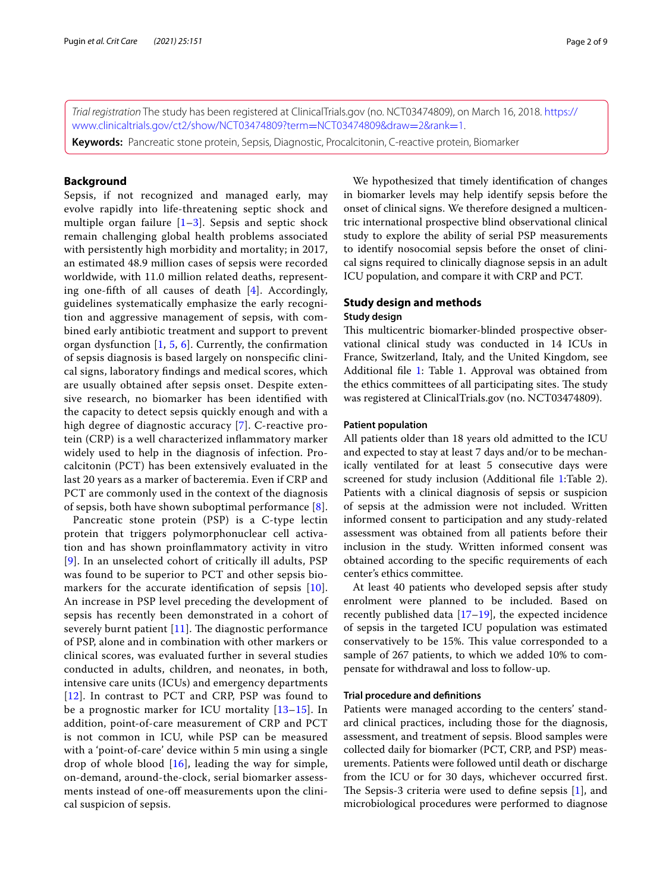*Trial registration* The study has been registered at ClinicalTrials.gov (no. NCT03474809), on March 16, 2018. [https://](https://www.clinicaltrials.gov/ct2/show/NCT03474809?term=NCT03474809&draw=2&rank=1) [www.clinicaltrials.gov/ct2/show/NCT03474809?term](https://www.clinicaltrials.gov/ct2/show/NCT03474809?term=NCT03474809&draw=2&rank=1)=NCT03474809&draw=2&rank=1.

**Keywords:** Pancreatic stone protein, Sepsis, Diagnostic, Procalcitonin, C-reactive protein, Biomarker

# **Background**

Sepsis, if not recognized and managed early, may evolve rapidly into life-threatening septic shock and multiple organ failure  $[1-3]$  $[1-3]$  $[1-3]$  $[1-3]$  $[1-3]$ . Sepsis and septic shock remain challenging global health problems associated with persistently high morbidity and mortality; in 2017, an estimated 48.9 million cases of sepsis were recorded worldwide, with 11.0 million related deaths, representing one-ffth of all causes of death [[4](#page-7-2)]. Accordingly, guidelines systematically emphasize the early recognition and aggressive management of sepsis, with combined early antibiotic treatment and support to prevent organ dysfunction  $[1, 5, 6]$  $[1, 5, 6]$  $[1, 5, 6]$  $[1, 5, 6]$  $[1, 5, 6]$  $[1, 5, 6]$ . Currently, the confirmation of sepsis diagnosis is based largely on nonspecifc clinical signs, laboratory fndings and medical scores, which are usually obtained after sepsis onset. Despite extensive research, no biomarker has been identifed with the capacity to detect sepsis quickly enough and with a high degree of diagnostic accuracy [[7\]](#page-7-5). C-reactive protein (CRP) is a well characterized infammatory marker widely used to help in the diagnosis of infection. Procalcitonin (PCT) has been extensively evaluated in the last 20 years as a marker of bacteremia. Even if CRP and PCT are commonly used in the context of the diagnosis of sepsis, both have shown suboptimal performance  $[8]$  $[8]$ .

Pancreatic stone protein (PSP) is a C-type lectin protein that triggers polymorphonuclear cell activation and has shown proinfammatory activity in vitro [[9](#page-7-7)]. In an unselected cohort of critically ill adults, PSP was found to be superior to PCT and other sepsis bio-markers for the accurate identification of sepsis [[10](#page-7-8)]. An increase in PSP level preceding the development of sepsis has recently been demonstrated in a cohort of severely burnt patient  $[11]$ . The diagnostic performance of PSP, alone and in combination with other markers or clinical scores, was evaluated further in several studies conducted in adults, children, and neonates, in both, intensive care units (ICUs) and emergency departments [[12](#page-8-0)]. In contrast to PCT and CRP, PSP was found to be a prognostic marker for ICU mortality [[13–](#page-8-1)[15](#page-8-2)]. In addition, point-of-care measurement of CRP and PCT is not common in ICU, while PSP can be measured with a 'point-of-care' device within 5 min using a single drop of whole blood  $[16]$  $[16]$  $[16]$ , leading the way for simple, on-demand, around-the-clock, serial biomarker assessments instead of one-of measurements upon the clinical suspicion of sepsis.

We hypothesized that timely identifcation of changes in biomarker levels may help identify sepsis before the onset of clinical signs. We therefore designed a multicentric international prospective blind observational clinical study to explore the ability of serial PSP measurements to identify nosocomial sepsis before the onset of clinical signs required to clinically diagnose sepsis in an adult ICU population, and compare it with CRP and PCT.

# **Study design and methods**

#### **Study design**

This multicentric biomarker-blinded prospective observational clinical study was conducted in 14 ICUs in France, Switzerland, Italy, and the United Kingdom, see Additional file [1:](#page-6-0) Table 1. Approval was obtained from the ethics committees of all participating sites. The study was registered at ClinicalTrials.gov (no. NCT03474809).

# **Patient population**

All patients older than 18 years old admitted to the ICU and expected to stay at least 7 days and/or to be mechanically ventilated for at least 5 consecutive days were screened for study inclusion (Additional fle [1:](#page-6-0)Table 2). Patients with a clinical diagnosis of sepsis or suspicion of sepsis at the admission were not included. Written informed consent to participation and any study-related assessment was obtained from all patients before their inclusion in the study. Written informed consent was obtained according to the specifc requirements of each center's ethics committee.

At least 40 patients who developed sepsis after study enrolment were planned to be included. Based on recently published data  $[17–19]$  $[17–19]$ , the expected incidence of sepsis in the targeted ICU population was estimated conservatively to be 15%. This value corresponded to a sample of 267 patients, to which we added 10% to compensate for withdrawal and loss to follow-up.

#### **Trial procedure and defnitions**

Patients were managed according to the centers' standard clinical practices, including those for the diagnosis, assessment, and treatment of sepsis. Blood samples were collected daily for biomarker (PCT, CRP, and PSP) measurements. Patients were followed until death or discharge from the ICU or for 30 days, whichever occurred frst. The Sepsis-3 criteria were used to define sepsis  $[1]$  $[1]$ , and microbiological procedures were performed to diagnose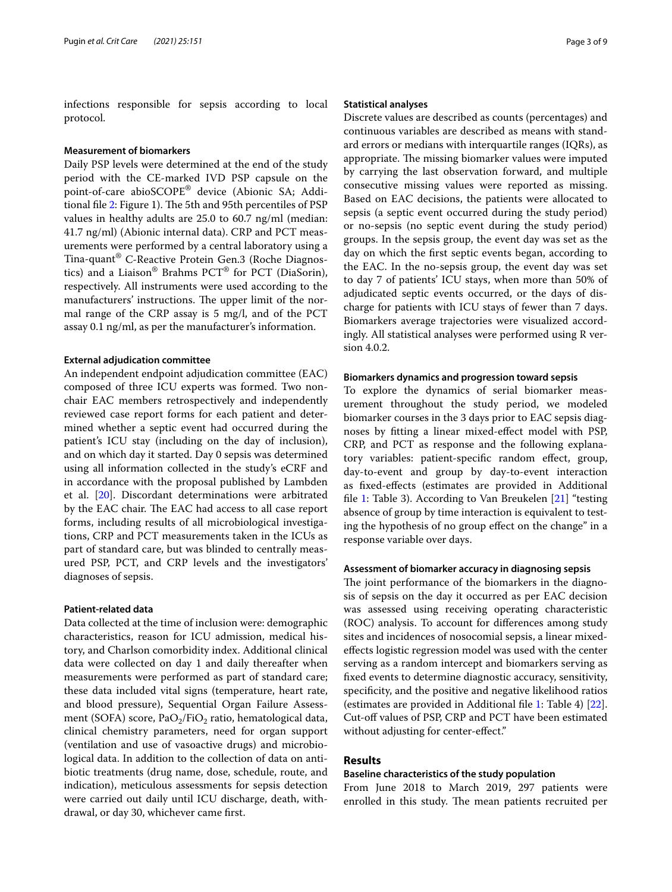infections responsible for sepsis according to local protocol.

## **Measurement of biomarkers**

Daily PSP levels were determined at the end of the study period with the CE-marked IVD PSP capsule on the point-of-care abioSCOPE® device (Abionic SA; Addi-tional file [2:](#page-7-10) Figure 1). The 5th and 95th percentiles of PSP values in healthy adults are 25.0 to 60.7 ng/ml (median: 41.7 ng/ml) (Abionic internal data). CRP and PCT measurements were performed by a central laboratory using a Tina-quant® C-Reactive Protein Gen.3 (Roche Diagnostics) and a Liaison® Brahms PCT® for PCT (DiaSorin), respectively. All instruments were used according to the manufacturers' instructions. The upper limit of the normal range of the CRP assay is 5 mg/l, and of the PCT assay 0.1 ng/ml, as per the manufacturer's information.

## **External adjudication committee**

An independent endpoint adjudication committee (EAC) composed of three ICU experts was formed. Two nonchair EAC members retrospectively and independently reviewed case report forms for each patient and determined whether a septic event had occurred during the patient's ICU stay (including on the day of inclusion), and on which day it started. Day 0 sepsis was determined using all information collected in the study's eCRF and in accordance with the proposal published by Lambden et al. [\[20](#page-8-6)]. Discordant determinations were arbitrated by the EAC chair. The EAC had access to all case report forms, including results of all microbiological investigations, CRP and PCT measurements taken in the ICUs as part of standard care, but was blinded to centrally measured PSP, PCT, and CRP levels and the investigators' diagnoses of sepsis.

# **Patient‑related data**

Data collected at the time of inclusion were: demographic characteristics, reason for ICU admission, medical history, and Charlson comorbidity index. Additional clinical data were collected on day 1 and daily thereafter when measurements were performed as part of standard care; these data included vital signs (temperature, heart rate, and blood pressure), Sequential Organ Failure Assessment (SOFA) score, Pa $O_2$ /Fi $O_2$  ratio, hematological data, clinical chemistry parameters, need for organ support (ventilation and use of vasoactive drugs) and microbiological data. In addition to the collection of data on antibiotic treatments (drug name, dose, schedule, route, and indication), meticulous assessments for sepsis detection were carried out daily until ICU discharge, death, withdrawal, or day 30, whichever came frst.

## **Statistical analyses**

Discrete values are described as counts (percentages) and continuous variables are described as means with standard errors or medians with interquartile ranges (IQRs), as appropriate. The missing biomarker values were imputed by carrying the last observation forward, and multiple consecutive missing values were reported as missing. Based on EAC decisions, the patients were allocated to sepsis (a septic event occurred during the study period) or no-sepsis (no septic event during the study period) groups. In the sepsis group, the event day was set as the day on which the frst septic events began, according to the EAC. In the no-sepsis group, the event day was set to day 7 of patients' ICU stays, when more than 50% of adjudicated septic events occurred, or the days of discharge for patients with ICU stays of fewer than 7 days. Biomarkers average trajectories were visualized accordingly. All statistical analyses were performed using R version 4.0.2.

### **Biomarkers dynamics and progression toward sepsis**

To explore the dynamics of serial biomarker measurement throughout the study period, we modeled biomarker courses in the 3 days prior to EAC sepsis diagnoses by ftting a linear mixed-efect model with PSP, CRP, and PCT as response and the following explanatory variables: patient-specifc random efect, group, day-to-event and group by day-to-event interaction as fxed-efects (estimates are provided in Additional fle [1:](#page-6-0) Table 3). According to Van Breukelen [[21](#page-8-7)] "testing absence of group by time interaction is equivalent to testing the hypothesis of no group efect on the change" in a response variable over days.

#### **Assessment of biomarker accuracy in diagnosing sepsis**

The joint performance of the biomarkers in the diagnosis of sepsis on the day it occurred as per EAC decision was assessed using receiving operating characteristic (ROC) analysis. To account for diferences among study sites and incidences of nosocomial sepsis, a linear mixedefects logistic regression model was used with the center serving as a random intercept and biomarkers serving as fxed events to determine diagnostic accuracy, sensitivity, specifcity, and the positive and negative likelihood ratios (estimates are provided in Additional fle [1:](#page-6-0) Table 4) [\[22](#page-8-8)]. Cut-off values of PSP, CRP and PCT have been estimated without adjusting for center-efect."

# **Results**

## **Baseline characteristics of the study population**

From June 2018 to March 2019, 297 patients were enrolled in this study. The mean patients recruited per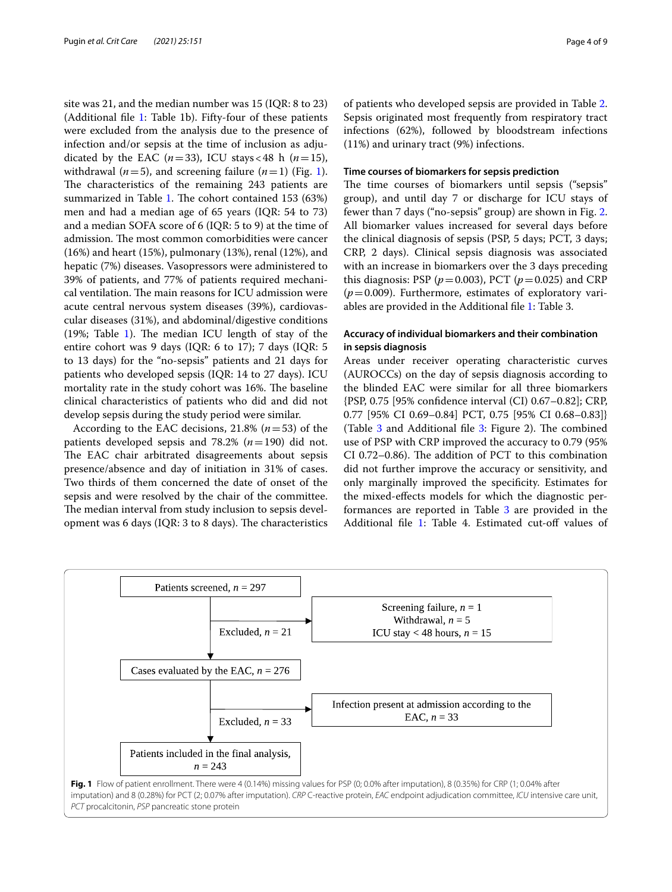site was 21, and the median number was 15 (IQR: 8 to 23) (Additional fle [1:](#page-6-0) Table 1b). Fifty-four of these patients were excluded from the analysis due to the presence of infection and/or sepsis at the time of inclusion as adjudicated by the EAC ( $n=33$ ), ICU stays < 48 h ( $n=15$ ), withdrawal ( $n=5$ ), and screening failure ( $n=1$  $n=1$ ) (Fig. 1). The characteristics of the remaining 243 patients are summarized in Table [1.](#page-4-0) The cohort contained 153 (63%) men and had a median age of 65 years (IQR: 54 to 73) and a median SOFA score of 6 (IQR: 5 to 9) at the time of admission. The most common comorbidities were cancer (16%) and heart (15%), pulmonary (13%), renal (12%), and hepatic (7%) diseases. Vasopressors were administered to 39% of patients, and 77% of patients required mechanical ventilation. The main reasons for ICU admission were acute central nervous system diseases (39%), cardiovascular diseases (31%), and abdominal/digestive conditions (19%; Table [1\)](#page-4-0). The median ICU length of stay of the entire cohort was 9 days (IQR: 6 to 17); 7 days (IQR: 5 to 13 days) for the "no-sepsis" patients and 21 days for patients who developed sepsis (IQR: 14 to 27 days). ICU mortality rate in the study cohort was 16%. The baseline clinical characteristics of patients who did and did not develop sepsis during the study period were similar.

According to the EAC decisions, 21.8% (*n*=53) of the patients developed sepsis and 78.2% (*n*=190) did not. The EAC chair arbitrated disagreements about sepsis presence/absence and day of initiation in 31% of cases. Two thirds of them concerned the date of onset of the sepsis and were resolved by the chair of the committee. The median interval from study inclusion to sepsis development was 6 days (IQR:  $3$  to  $8$  days). The characteristics of patients who developed sepsis are provided in Table [2](#page-5-0). Sepsis originated most frequently from respiratory tract infections (62%), followed by bloodstream infections (11%) and urinary tract (9%) infections.

## **Time courses of biomarkers for sepsis prediction**

The time courses of biomarkers until sepsis ("sepsis" group), and until day 7 or discharge for ICU stays of fewer than 7 days ("no-sepsis" group) are shown in Fig. [2](#page-5-1). All biomarker values increased for several days before the clinical diagnosis of sepsis (PSP, 5 days; PCT, 3 days; CRP, 2 days). Clinical sepsis diagnosis was associated with an increase in biomarkers over the 3 days preceding this diagnosis: PSP ( $p = 0.003$ ), PCT ( $p = 0.025$ ) and CRP  $(p=0.009)$ . Furthermore, estimates of exploratory variables are provided in the Additional fle [1](#page-6-0): Table 3.

# **Accuracy of individual biomarkers and their combination in sepsis diagnosis**

Areas under receiver operating characteristic curves (AUROCCs) on the day of sepsis diagnosis according to the blinded EAC were similar for all three biomarkers {PSP, 0.75 [95% confdence interval (CI) 0.67–0.82]; CRP, 0.77 [95% CI 0.69–0.84] PCT, 0.75 [95% CI 0.68–0.83]} (Table  $3$  and Additional file  $3$ : Figure 2). The combined use of PSP with CRP improved the accuracy to 0.79 (95% CI 0.72-0.86). The addition of PCT to this combination did not further improve the accuracy or sensitivity, and only marginally improved the specifcity. Estimates for the mixed-efects models for which the diagnostic performances are reported in Table [3](#page-6-1) are provided in the Additional file [1:](#page-6-0) Table 4. Estimated cut-off values of

<span id="page-3-0"></span>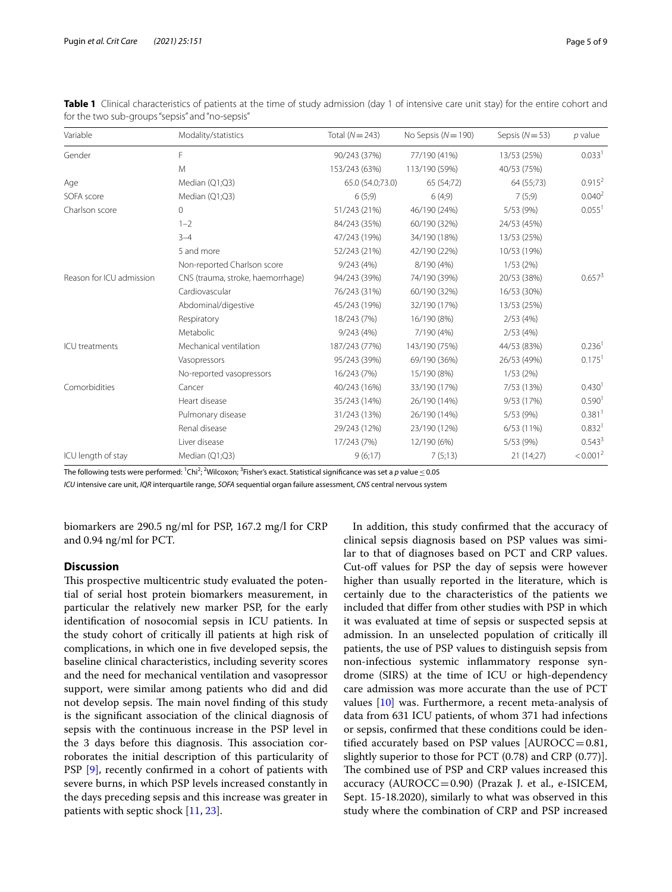| Variable                 | Modality/statistics               | Total $(N=243)$  | No Sepsis $(N = 190)$ | Sepsis $(N=53)$ | $p$ value            |
|--------------------------|-----------------------------------|------------------|-----------------------|-----------------|----------------------|
| Gender                   | F                                 | 90/243 (37%)     | 77/190 (41%)          | 13/53 (25%)     | 0.033 <sup>1</sup>   |
|                          | M                                 | 153/243 (63%)    | 113/190 (59%)         | 40/53 (75%)     |                      |
| Age                      | Median (Q1;Q3)                    | 65.0 (54.0;73.0) | 65 (54;72)            | 64 (55;73)      | 0.915 <sup>2</sup>   |
| SOFA score               | Median (Q1;Q3)                    | 6(5,9)           | 6(4,9)                | 7(5,9)          | 0.040 <sup>2</sup>   |
| Charlson score           | $\circ$                           | 51/243 (21%)     | 46/190 (24%)          | 5/53 (9%)       | 0.055 <sup>1</sup>   |
|                          | $1 - 2$                           | 84/243 (35%)     | 60/190 (32%)          | 24/53 (45%)     |                      |
|                          | $3 - 4$                           | 47/243 (19%)     | 34/190 (18%)          | 13/53 (25%)     |                      |
|                          | 5 and more                        | 52/243 (21%)     | 42/190 (22%)          | 10/53 (19%)     |                      |
|                          | Non-reported Charlson score       | 9/243(4%)        | 8/190 (4%)            | 1/53(2%)        |                      |
| Reason for ICU admission | CNS (trauma, stroke, haemorrhage) | 94/243 (39%)     | 74/190 (39%)          | 20/53 (38%)     | 0.657 <sup>3</sup>   |
|                          | Cardiovascular                    | 76/243 (31%)     | 60/190 (32%)          | 16/53 (30%)     |                      |
|                          | Abdominal/digestive               | 45/243 (19%)     | 32/190 (17%)          | 13/53 (25%)     |                      |
|                          | Respiratory                       | 18/243 (7%)      | 16/190 (8%)           | 2/53(4%)        |                      |
|                          | Metabolic                         | 9/243 (4%)       | 7/190 (4%)            | 2/53(4%)        |                      |
| ICU treatments           | Mechanical ventilation            | 187/243 (77%)    | 143/190 (75%)         | 44/53 (83%)     | 0.236 <sup>1</sup>   |
|                          | Vasopressors                      | 95/243 (39%)     | 69/190 (36%)          | 26/53 (49%)     | $0.175$ <sup>1</sup> |
|                          | No-reported vasopressors          | 16/243 (7%)      | 15/190 (8%)           | 1/53(2%)        |                      |
| Comorbidities            | Cancer                            | 40/243 (16%)     | 33/190 (17%)          | 7/53 (13%)      | 0.430 <sup>1</sup>   |
|                          | Heart disease                     | 35/243 (14%)     | 26/190 (14%)          | 9/53 (17%)      | 0.590 <sup>1</sup>   |
|                          | Pulmonary disease                 | 31/243 (13%)     | 26/190 (14%)          | 5/53 (9%)       | $0.381$ <sup>1</sup> |
|                          | Renal disease                     | 29/243 (12%)     | 23/190 (12%)          | 6/53(11%)       | 0.832 <sup>1</sup>   |
|                          | Liver disease                     | 17/243 (7%)      | 12/190 (6%)           | 5/53 (9%)       | 0.543 <sup>3</sup>   |
| ICU length of stay       | Median (Q1;Q3)                    | 9(6;17)          | 7(5;13)               | 21(14;27)       | < 0.001 <sup>2</sup> |

<span id="page-4-0"></span>**Table 1** Clinical characteristics of patients at the time of study admission (day 1 of intensive care unit stay) for the entire cohort and for the two sub-groups "sepsis" and "no-sepsis"

The following tests were performed: <sup>1</sup>Chi<sup>2</sup>; <sup>2</sup>Wilcoxon; <sup>3</sup>Fisher's exact. Statistical significance was set a  $p$  value  $\leq$  0.05

*ICU* intensive care unit, *IQR* interquartile range, *SOFA* sequential organ failure assessment, *CNS* central nervous system

biomarkers are 290.5 ng/ml for PSP, 167.2 mg/l for CRP and 0.94 ng/ml for PCT.

# **Discussion**

This prospective multicentric study evaluated the potential of serial host protein biomarkers measurement, in particular the relatively new marker PSP, for the early identifcation of nosocomial sepsis in ICU patients. In the study cohort of critically ill patients at high risk of complications, in which one in fve developed sepsis, the baseline clinical characteristics, including severity scores and the need for mechanical ventilation and vasopressor support, were similar among patients who did and did not develop sepsis. The main novel finding of this study is the signifcant association of the clinical diagnosis of sepsis with the continuous increase in the PSP level in the 3 days before this diagnosis. This association corroborates the initial description of this particularity of PSP [\[9](#page-7-7)], recently confrmed in a cohort of patients with severe burns, in which PSP levels increased constantly in the days preceding sepsis and this increase was greater in patients with septic shock [[11](#page-7-9), [23\]](#page-8-9).

In addition, this study confrmed that the accuracy of clinical sepsis diagnosis based on PSP values was similar to that of diagnoses based on PCT and CRP values. Cut-off values for PSP the day of sepsis were however higher than usually reported in the literature, which is certainly due to the characteristics of the patients we included that difer from other studies with PSP in which it was evaluated at time of sepsis or suspected sepsis at admission. In an unselected population of critically ill patients, the use of PSP values to distinguish sepsis from non-infectious systemic infammatory response syndrome (SIRS) at the time of ICU or high-dependency care admission was more accurate than the use of PCT values [[10\]](#page-7-8) was. Furthermore, a recent meta-analysis of data from 631 ICU patients, of whom 371 had infections or sepsis, confrmed that these conditions could be identified accurately based on PSP values [AUROCC=0.81, slightly superior to those for PCT (0.78) and CRP (0.77)]. The combined use of PSP and CRP values increased this accuracy  $(AUROCC=0.90)$  (Prazak J. et al., e-ISICEM, Sept. 15-18.2020), similarly to what was observed in this study where the combination of CRP and PSP increased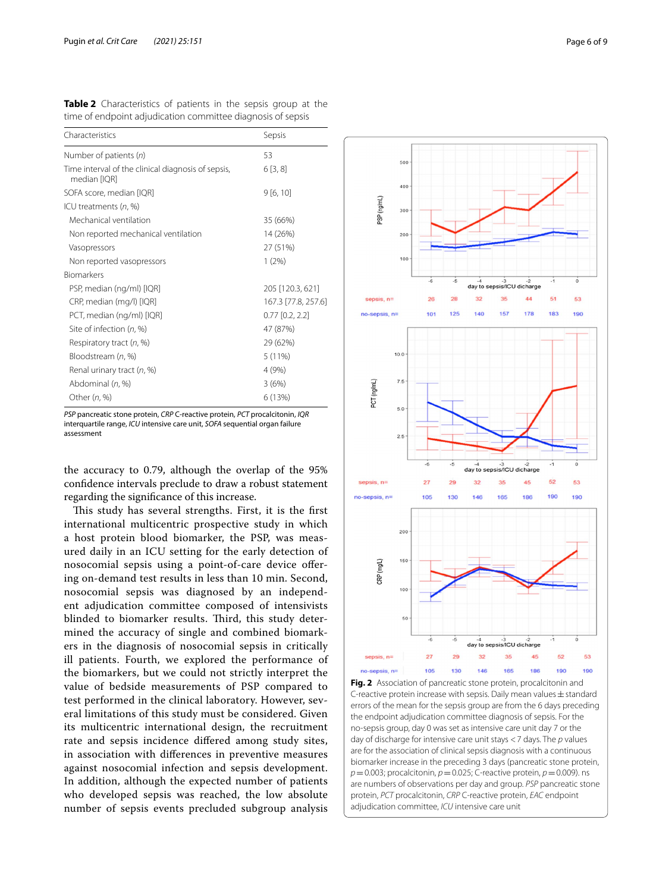<span id="page-5-0"></span>**Table 2** Characteristics of patients in the sepsis group at the time of endpoint adjudication committee diagnosis of sepsis

| Characteristics                                                    | Sepsis              |  |
|--------------------------------------------------------------------|---------------------|--|
| Number of patients $(n)$                                           | 53                  |  |
| Time interval of the clinical diagnosis of sepsis,<br>median [IQR] | 6[3,8]              |  |
| SOFA score, median [IQR]                                           | 9[6, 10]            |  |
| ICU treatments $(n, %)$                                            |                     |  |
| Mechanical ventilation                                             | 35 (66%)            |  |
| Non reported mechanical ventilation                                | 14 (26%)            |  |
| Vasopressors                                                       | 27 (51%)            |  |
| Non reported vasopressors                                          | 1(2%)               |  |
| <b>Biomarkers</b>                                                  |                     |  |
| PSP, median (ng/ml) [IQR]                                          | 205 [120.3, 621]    |  |
| CRP, median (mg/l) [IQR]                                           | 167.3 [77.8, 257.6] |  |
| PCT, median (ng/ml) [IQR]                                          | $0.77$ $[0.2, 2.2]$ |  |
| Site of infection (n, %)                                           | 47 (87%)            |  |
| Respiratory tract (n, %)                                           | 29 (62%)            |  |
| Bloodstream (n, %)                                                 | $5(11\%)$           |  |
| Renal urinary tract (n, %)                                         | 4 (9%)              |  |
| Abdominal (n, %)                                                   | 3(6%)               |  |
| Other $(n, %)$                                                     | 6 (13%)             |  |
|                                                                    |                     |  |

*PSP* pancreatic stone protein, *CRP* C-reactive protein, *PCT* procalcitonin, *IQR* interquartile range, *ICU* intensive care unit, *SOFA* sequential organ failure assessment

the accuracy to 0.79, although the overlap of the 95% confdence intervals preclude to draw a robust statement regarding the signifcance of this increase.

<span id="page-5-1"></span>This study has several strengths. First, it is the first international multicentric prospective study in which a host protein blood biomarker, the PSP, was measured daily in an ICU setting for the early detection of nosocomial sepsis using a point-of-care device ofering on-demand test results in less than 10 min. Second, nosocomial sepsis was diagnosed by an independent adjudication committee composed of intensivists blinded to biomarker results. Third, this study determined the accuracy of single and combined biomarkers in the diagnosis of nosocomial sepsis in critically ill patients. Fourth, we explored the performance of the biomarkers, but we could not strictly interpret the value of bedside measurements of PSP compared to test performed in the clinical laboratory. However, several limitations of this study must be considered. Given its multicentric international design, the recruitment rate and sepsis incidence difered among study sites, in association with diferences in preventive measures against nosocomial infection and sepsis development. In addition, although the expected number of patients who developed sepsis was reached, the low absolute number of sepsis events precluded subgroup analysis

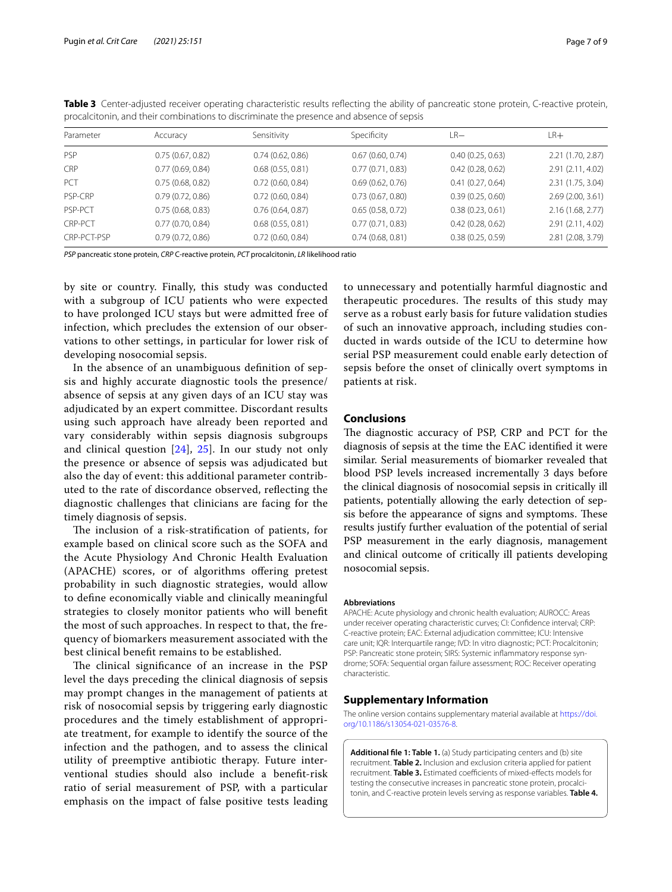| Parameter   | Accuracy         | Sensitivity      | Specificity      | $LR-$            | LR+               |
|-------------|------------------|------------------|------------------|------------------|-------------------|
| <b>PSP</b>  | 0.75(0.67, 0.82) | 0.74(0.62, 0.86) | 0.67(0.60, 0.74) | 0.40(0.25, 0.63) | 2.21 (1.70, 2.87) |
| <b>CRP</b>  | 0.77(0.69, 0.84) | 0.68(0.55, 0.81) | 0.77(0.71, 0.83) | 0.42(0.28, 0.62) | 2.91 (2.11, 4.02) |
| <b>PCT</b>  | 0.75(0.68, 0.82) | 0.72(0.60, 0.84) | 0.69(0.62, 0.76) | 0.41(0.27, 0.64) | 2.31 (1.75, 3.04) |
| PSP-CRP     | 0.79(0.72, 0.86) | 0.72(0.60, 0.84) | 0.73(0.67, 0.80) | 0.39(0.25, 0.60) | 2.69(2.00, 3.61)  |
| PSP-PCT     | 0.75(0.68, 0.83) | 0.76(0.64, 0.87) | 0.65(0.58, 0.72) | 0.38(0.23, 0.61) | 2.16(1.68, 2.77)  |
| CRP-PCT     | 0.77(0.70, 0.84) | 0.68(0.55, 0.81) | 0.77(0.71, 0.83) | 0.42(0.28, 0.62) | 2.91 (2.11, 4.02) |
| CRP-PCT-PSP | 0.79(0.72, 0.86) | 0.72(0.60, 0.84) | 0.74(0.68, 0.81) | 0.38(0.25, 0.59) | 2.81 (2.08, 3.79) |

<span id="page-6-1"></span>**Table 3** Center-adjusted receiver operating characteristic results reflecting the ability of pancreatic stone protein, C-reactive protein, procalcitonin, and their combinations to discriminate the presence and absence of sepsis

*PSP* pancreatic stone protein, *CRP* C-reactive protein, *PCT* procalcitonin, *LR* likelihood ratio

by site or country. Finally, this study was conducted with a subgroup of ICU patients who were expected to have prolonged ICU stays but were admitted free of infection, which precludes the extension of our observations to other settings, in particular for lower risk of developing nosocomial sepsis.

In the absence of an unambiguous defnition of sepsis and highly accurate diagnostic tools the presence/ absence of sepsis at any given days of an ICU stay was adjudicated by an expert committee. Discordant results using such approach have already been reported and vary considerably within sepsis diagnosis subgroups and clinical question [[24](#page-8-10)], [25](#page-8-11)]. In our study not only the presence or absence of sepsis was adjudicated but also the day of event: this additional parameter contributed to the rate of discordance observed, refecting the diagnostic challenges that clinicians are facing for the timely diagnosis of sepsis.

The inclusion of a risk-stratification of patients, for example based on clinical score such as the SOFA and the Acute Physiology And Chronic Health Evaluation (APACHE) scores, or of algorithms offering pretest probability in such diagnostic strategies, would allow to defne economically viable and clinically meaningful strategies to closely monitor patients who will beneft the most of such approaches. In respect to that, the frequency of biomarkers measurement associated with the best clinical beneft remains to be established.

The clinical significance of an increase in the PSP level the days preceding the clinical diagnosis of sepsis may prompt changes in the management of patients at risk of nosocomial sepsis by triggering early diagnostic procedures and the timely establishment of appropriate treatment, for example to identify the source of the infection and the pathogen, and to assess the clinical utility of preemptive antibiotic therapy. Future interventional studies should also include a beneft-risk ratio of serial measurement of PSP, with a particular emphasis on the impact of false positive tests leading

to unnecessary and potentially harmful diagnostic and therapeutic procedures. The results of this study may serve as a robust early basis for future validation studies of such an innovative approach, including studies conducted in wards outside of the ICU to determine how serial PSP measurement could enable early detection of sepsis before the onset of clinically overt symptoms in patients at risk.

# **Conclusions**

The diagnostic accuracy of PSP, CRP and PCT for the diagnosis of sepsis at the time the EAC identifed it were similar. Serial measurements of biomarker revealed that blood PSP levels increased incrementally 3 days before the clinical diagnosis of nosocomial sepsis in critically ill patients, potentially allowing the early detection of sepsis before the appearance of signs and symptoms. These results justify further evaluation of the potential of serial PSP measurement in the early diagnosis, management and clinical outcome of critically ill patients developing nosocomial sepsis.

#### **Abbreviations**

APACHE: Acute physiology and chronic health evaluation; AUROCC: Areas under receiver operating characteristic curves; CI: Confdence interval; CRP: C-reactive protein; EAC: External adjudication committee; ICU: Intensive care unit; IQR: Interquartile range; IVD: In vitro diagnostic; PCT: Procalcitonin; PSP: Pancreatic stone protein; SIRS: Systemic inflammatory response syndrome; SOFA: Sequential organ failure assessment; ROC: Receiver operating characteristic.

# **Supplementary Information**

The online version contains supplementary material available at [https://doi.](https://doi.org/10.1186/s13054-021-03576-8) [org/10.1186/s13054-021-03576-8](https://doi.org/10.1186/s13054-021-03576-8).

<span id="page-6-0"></span>**Additional fle 1: Table 1.** (a) Study participating centers and (b) site recruitment. **Table 2.** Inclusion and exclusion criteria applied for patient recruitment. Table 3. Estimated coefficients of mixed-effects models for testing the consecutive increases in pancreatic stone protein, procalcitonin, and C-reactive protein levels serving as response variables. **Table 4.**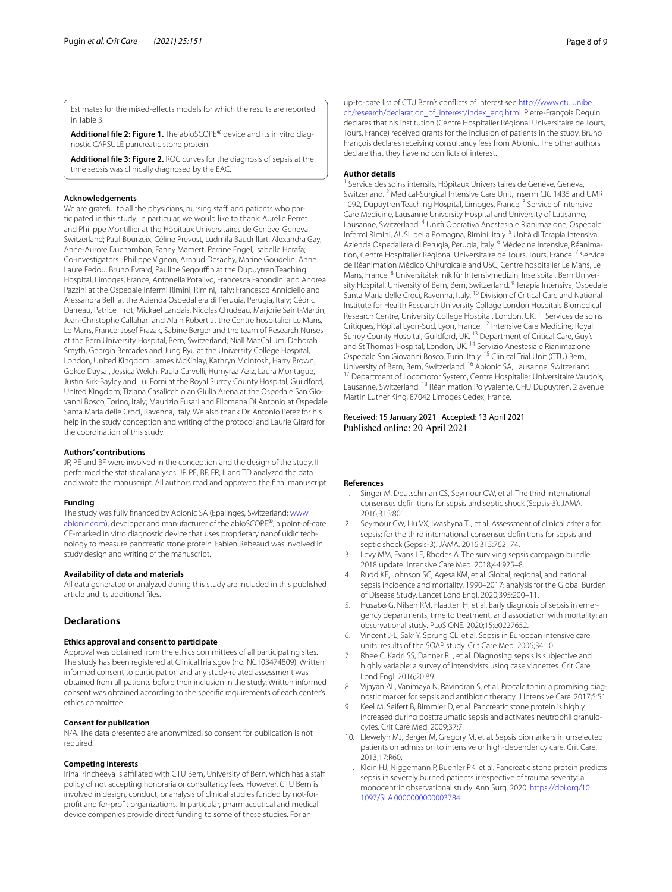<span id="page-7-10"></span>Estimates for the mixed-efects models for which the results are reported in Table 3.

<span id="page-7-11"></span>Additional file 2: Figure 1. The abioSCOPE<sup>®</sup> device and its in vitro diagnostic CAPSULE pancreatic stone protein.

**Additional fle 3: Figure 2.** ROC curves for the diagnosis of sepsis at the time sepsis was clinically diagnosed by the EAC.

#### **Acknowledgements**

We are grateful to all the physicians, nursing staff, and patients who participated in this study. In particular, we would like to thank: Aurélie Perret and Philippe Montillier at the Hôpitaux Universitaires de Genève, Geneva, Switzerland; Paul Bourzeix, Céline Prevost, Ludmila Baudrillart, Alexandra Gay, Anne-Aurore Duchambon, Fanny Mamert, Perrine Engel, Isabelle Herafa; Co-investigators : Philippe Vignon, Arnaud Desachy, Marine Goudelin, Anne Laure Fedou, Bruno Evrard, Pauline Segouffin at the Dupuytren Teaching Hospital, Limoges, France; Antonella Potalivo, Francesca Facondini and Andrea Pazzini at the Ospedale Infermi Rimini, Rimini, Italy; Francesco Anniciello and Alessandra Belli at the Azienda Ospedaliera di Perugia, Perugia, Italy; Cédric Darreau, Patrice Tirot, Mickael Landais, Nicolas Chudeau, Marjorie Saint-Martin, Jean-Christophe Callahan and Alain Robert at the Centre hospitalier Le Mans, Le Mans, France; Josef Prazak, Sabine Berger and the team of Research Nurses at the Bern University Hospital, Bern, Switzerland; Niall MacCallum, Deborah Smyth, Georgia Bercades and Jung Ryu at the University College Hospital, London, United Kingdom; James McKinlay, Kathryn McIntosh, Harry Brown, Gokce Daysal, Jessica Welch, Paula Carvelli, Humyraa Aziz, Laura Montague, Justin Kirk-Bayley and Lui Forni at the Royal Surrey County Hospital, Guildford, United Kingdom; Tiziana Casalicchio an Giulia Arena at the Ospedale San Giovanni Bosco, Torino, Italy; Maurizio Fusari and Filomena Di Antonio at Ospedale Santa Maria delle Croci, Ravenna, Italy. We also thank Dr. Antonio Perez for his help in the study conception and writing of the protocol and Laurie Girard for the coordination of this study.

#### **Authors' contributions**

JP, PE and BF were involved in the conception and the design of the study. II performed the statistical analyses. JP, PE, BF, FR, II and TD analyzed the data and wrote the manuscript. All authors read and approved the fnal manuscript.

#### **Funding**

The study was fully fnanced by Abionic SA (Epalinges, Switzerland; [www.](http://www.abionic.com) [abionic.com](http://www.abionic.com)), developer and manufacturer of the abioSCOPE®, a point-of-care CE-marked in vitro diagnostic device that uses proprietary nanofluidic technology to measure pancreatic stone protein. Fabien Rebeaud was involved in study design and writing of the manuscript.

#### **Availability of data and materials**

All data generated or analyzed during this study are included in this published article and its additional fles.

# **Declarations**

#### **Ethics approval and consent to participate**

Approval was obtained from the ethics committees of all participating sites. The study has been registered at ClinicalTrials.gov (no. NCT03474809). Written informed consent to participation and any study-related assessment was obtained from all patients before their inclusion in the study. Written informed consent was obtained according to the specifc requirements of each center's ethics committee.

#### **Consent for publication**

N/A. The data presented are anonymized, so consent for publication is not required.

#### **Competing interests**

Irina Irincheeva is affiliated with CTU Bern, University of Bern, which has a staff policy of not accepting honoraria or consultancy fees. However, CTU Bern is involved in design, conduct, or analysis of clinical studies funded by not-forproft and for-proft organizations. In particular, pharmaceutical and medical device companies provide direct funding to some of these studies. For an

up-to-date list of CTU Bern's conficts of interest see [http://www.ctu.unibe.](http://www.ctu.unibe.ch/research/declaration_of_interest/index_eng.html) [ch/research/declaration\\_of\\_interest/index\\_eng.html.](http://www.ctu.unibe.ch/research/declaration_of_interest/index_eng.html) Pierre-François Dequin declares that his institution (Centre Hospitalier Régional Universitaire de Tours, Tours, France) received grants for the inclusion of patients in the study. Bruno François declares receiving consultancy fees from Abionic. The other authors declare that they have no conficts of interest.

#### **Author details**

<sup>1</sup> Service des soins intensifs, Hôpitaux Universitaires de Genève, Geneva, Switzerland. <sup>2</sup> Medical-Surgical Intensive Care Unit, Inserm CIC 1435 and UMR 1092, Dupuytren Teaching Hospital, Limoges, France.<sup>3</sup> Service of Intensive Care Medicine, Lausanne University Hospital and University of Lausanne, Lausanne, Switzerland. 4 Unità Operativa Anestesia e Rianimazione, Ospedale Infermi Rimini, AUSL della Romagna, Rimini, Italy. 5 Unità di Terapia Intensiva, Azienda Ospedaliera di Perugia, Perugia, Italy. <sup>6</sup> Médecine Intensive, Réanimation, Centre Hospitalier Régional Universitaire de Tours, Tours, France.<sup>7</sup> Service de Réanimation Médico Chirurgicale and USC, Centre hospitalier Le Mans, Le Mans, France. <sup>8</sup> Universitätsklinik für Intensivmedizin, Inselspital, Bern University Hospital, University of Bern, Bern, Switzerland. <sup>9</sup> Terapia Intensiva, Ospedale Santa Maria delle Croci, Ravenna, Italy. 10 Division of Critical Care and National Institute for Health Research University College London Hospitals Biomedical Research Centre, University College Hospital, London, UK. 11 Services de soins Critiques, Hôpital Lyon-Sud, Lyon, France. 12 Intensive Care Medicine, Royal Surrey County Hospital, Guildford, UK. 13 Department of Critical Care, Guy's and St Thomas' Hospital, London, UK. 14 Servizio Anestesia e Rianimazione, Ospedale San Giovanni Bosco, Turin, Italy. <sup>15</sup> Clinical Trial Unit (CTU) Bern,<br>University of Bern, Bern, Switzerland. <sup>16</sup> Abionic SA, Lausanne, Switzerland. <sup>17</sup> Department of Locomotor System, Centre Hospitalier Universitaire Vaudois, Lausanne, Switzerland. 18 Réanimation Polyvalente, CHU Dupuytren, 2 avenue Martin Luther King, 87042 Limoges Cedex, France.

## Received: 15 January 2021 Accepted: 13 April 2021 Published online: 20 April 2021

#### **References**

- <span id="page-7-0"></span>1. Singer M, Deutschman CS, Seymour CW, et al. The third international consensus defnitions for sepsis and septic shock (Sepsis-3). JAMA. 2016;315:801.
- 2. Seymour CW, Liu VX, Iwashyna TJ, et al. Assessment of clinical criteria for sepsis: for the third international consensus defnitions for sepsis and septic shock (Sepsis-3). JAMA. 2016;315:762–74.
- <span id="page-7-1"></span>3. Levy MM, Evans LE, Rhodes A. The surviving sepsis campaign bundle: 2018 update. Intensive Care Med. 2018;44:925–8.
- <span id="page-7-2"></span>4. Rudd KE, Johnson SC, Agesa KM, et al. Global, regional, and national sepsis incidence and mortality, 1990–2017: analysis for the Global Burden of Disease Study. Lancet Lond Engl. 2020;395:200–11.
- <span id="page-7-3"></span>5. Husabø G, Nilsen RM, Flaatten H, et al. Early diagnosis of sepsis in emer‑ gency departments, time to treatment, and association with mortality: an observational study. PLoS ONE. 2020;15:e0227652.
- <span id="page-7-4"></span>6. Vincent J-L, Sakr Y, Sprung CL, et al. Sepsis in European intensive care units: results of the SOAP study. Crit Care Med. 2006;34:10.
- <span id="page-7-5"></span>7. Rhee C, Kadri SS, Danner RL, et al. Diagnosing sepsis is subjective and highly variable: a survey of intensivists using case vignettes. Crit Care Lond Engl. 2016;20:89.
- <span id="page-7-6"></span>8. Vijayan AL, Vanimaya N, Ravindran S, et al. Procalcitonin: a promising diagnostic marker for sepsis and antibiotic therapy. J Intensive Care. 2017;5:51.
- <span id="page-7-7"></span>Keel M, Seifert B, Bimmler D, et al. Pancreatic stone protein is highly increased during posttraumatic sepsis and activates neutrophil granulocytes. Crit Care Med. 2009;37:7.
- <span id="page-7-8"></span>10. Llewelyn MJ, Berger M, Gregory M, et al. Sepsis biomarkers in unselected patients on admission to intensive or high-dependency care. Crit Care. 2013;17:R60.
- <span id="page-7-9"></span>11. Klein HJ, Niggemann P, Buehler PK, et al. Pancreatic stone protein predicts sepsis in severely burned patients irrespective of trauma severity: a monocentric observational study. Ann Surg. 2020. [https://doi.org/10.](https://doi.org/10.1097/SLA.0000000000003784) [1097/SLA.0000000000003784](https://doi.org/10.1097/SLA.0000000000003784).